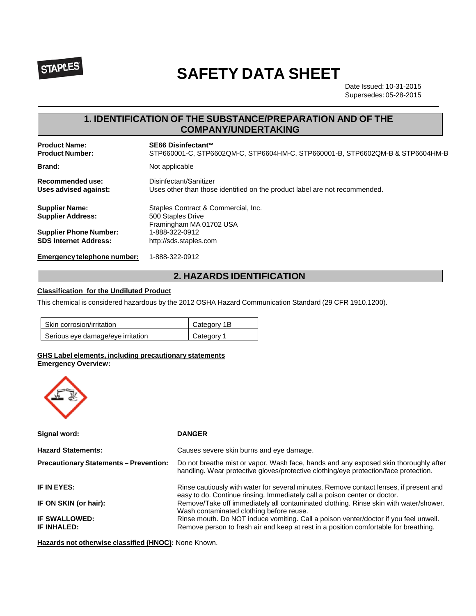

# **SAFETY DATA SHEET**

Date Issued: 10-31-2015 Supersedes: 05-28-2015

# **1. IDENTIFICATION OF THE SUBSTANCE/PREPARATION AND OF THE COMPANY/UNDERTAKING**

| <b>Product Name:</b>                              | SE66 Disinfectant™                                                                  |
|---------------------------------------------------|-------------------------------------------------------------------------------------|
| <b>Product Number:</b>                            | STP660001-C, STP6602QM-C, STP6604HM-C, STP660001-B, STP6602QM-B & STP6604HM-B       |
| <b>Brand:</b>                                     | Not applicable                                                                      |
| Recommended use:                                  | Disinfectant/Sanitizer                                                              |
| Uses advised against:                             | Uses other than those identified on the product label are not recommended.          |
| <b>Supplier Name:</b><br><b>Supplier Address:</b> | Staples Contract & Commercial, Inc.<br>500 Staples Drive<br>Framingham MA 01702 USA |
| <b>Supplier Phone Number:</b>                     | 1-888-322-0912                                                                      |
| <b>SDS Internet Address:</b>                      | http://sds.staples.com                                                              |
| Emergency telephone number:                       | 1-888-322-0912                                                                      |

# **2. HAZARDS IDENTIFICATION**

## **Classification for the Undiluted Product**

This chemical is considered hazardous by the 2012 OSHA Hazard Communication Standard (29 CFR 1910.1200).

| Skin corrosion/irritation         | Category 1B |
|-----------------------------------|-------------|
| Serious eye damage/eye irritation | Category 1  |

# **GHS Label elements, including precautionary statements**

**Emergency Overview:**

| Signal word:                                  | <b>DANGER</b>                                                                                                                                                                |
|-----------------------------------------------|------------------------------------------------------------------------------------------------------------------------------------------------------------------------------|
| <b>Hazard Statements:</b>                     | Causes severe skin burns and eye damage.                                                                                                                                     |
| <b>Precautionary Statements - Prevention:</b> | Do not breathe mist or vapor. Wash face, hands and any exposed skin thoroughly after<br>handling. Wear protective gloves/protective clothing/eye protection/face protection. |
| IF IN EYES:                                   | Rinse cautiously with water for several minutes. Remove contact lenses, if present and<br>easy to do. Continue rinsing. Immediately call a poison center or doctor.          |
| IF ON SKIN (or hair):                         | Remove/Take off immediately all contaminated clothing. Rinse skin with water/shower.<br>Wash contaminated clothing before reuse.                                             |
| IF SWALLOWED:<br><b>IF INHALED:</b>           | Rinse mouth. Do NOT induce vomiting. Call a poison venter/doctor if you feel unwell.<br>Remove person to fresh air and keep at rest in a position comfortable for breathing. |

**Hazards not otherwise classified (HNOC):** None Known.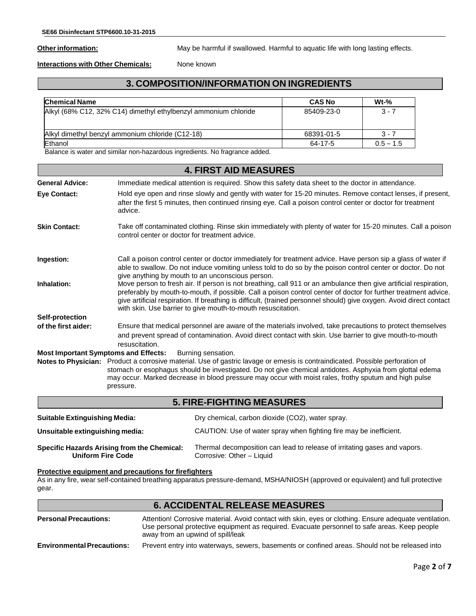Other information: May be harmful if swallowed. Harmful to aquatic life with long lasting effects.

**Interactions with Other Chemicals:** None known

# **3. COMPOSITION/INFORMATION ON INGREDIENTS**

| <b>Chemical Name</b>                                            | <b>CAS No</b> | $Wt-%$      |
|-----------------------------------------------------------------|---------------|-------------|
| Alkyl (68% C12, 32% C14) dimethyl ethylbenzyl ammonium chloride | 85409-23-0    | $3 - 7$     |
| Alkyl dimethyl benzyl ammonium chloride (C12-18)                | 68391-01-5    | $3 - 7$     |
| Ethanol                                                         | 64-17-5       | $0.5 - 1.5$ |

Balance is water and similar non-hazardous ingredients. No fragrance added.

|                                                                                                                                                                                                                                                                                                                                                                                                                                      | <b>4. FIRST AID MEASURES</b>                                                                                                                                                                                                                                                                                                                                                                                                |  |
|--------------------------------------------------------------------------------------------------------------------------------------------------------------------------------------------------------------------------------------------------------------------------------------------------------------------------------------------------------------------------------------------------------------------------------------|-----------------------------------------------------------------------------------------------------------------------------------------------------------------------------------------------------------------------------------------------------------------------------------------------------------------------------------------------------------------------------------------------------------------------------|--|
| <b>General Advice:</b>                                                                                                                                                                                                                                                                                                                                                                                                               | Immediate medical attention is required. Show this safety data sheet to the doctor in attendance.                                                                                                                                                                                                                                                                                                                           |  |
| Eye Contact:                                                                                                                                                                                                                                                                                                                                                                                                                         | Hold eye open and rinse slowly and gently with water for 15-20 minutes. Remove contact lenses, if present,<br>after the first 5 minutes, then continued rinsing eye. Call a poison control center or doctor for treatment<br>advice.                                                                                                                                                                                        |  |
| <b>Skin Contact:</b>                                                                                                                                                                                                                                                                                                                                                                                                                 | Take off contaminated clothing. Rinse skin immediately with plenty of water for 15-20 minutes. Call a poison<br>control center or doctor for treatment advice.                                                                                                                                                                                                                                                              |  |
| Ingestion:                                                                                                                                                                                                                                                                                                                                                                                                                           | Call a poison control center or doctor immediately for treatment advice. Have person sip a glass of water if<br>able to swallow. Do not induce vomiting unless told to do so by the poison control center or doctor. Do not<br>give anything by mouth to an unconscious person.                                                                                                                                             |  |
| Inhalation:                                                                                                                                                                                                                                                                                                                                                                                                                          | Move person to fresh air. If person is not breathing, call 911 or an ambulance then give artificial respiration,<br>preferably by mouth-to-mouth, if possible. Call a poison control center of doctor for further treatment advice.<br>give artificial respiration. If breathing is difficult, (trained personnel should) give oxygen. Avoid direct contact<br>with skin. Use barrier to give mouth-to-mouth resuscitation. |  |
| <b>Self-protection</b>                                                                                                                                                                                                                                                                                                                                                                                                               |                                                                                                                                                                                                                                                                                                                                                                                                                             |  |
| of the first aider:                                                                                                                                                                                                                                                                                                                                                                                                                  | Ensure that medical personnel are aware of the materials involved, take precautions to protect themselves<br>and prevent spread of contamination. Avoid direct contact with skin. Use barrier to give mouth-to-mouth<br>resuscitation.                                                                                                                                                                                      |  |
| <b>Most Important Symptoms and Effects:</b><br>Burning sensation.<br>Notes to Physician: Product a corrosive material. Use of gastric lavage or emesis is contraindicated. Possible perforation of<br>stomach or esophagus should be investigated. Do not give chemical antidotes. Asphyxia from glottal edema<br>may occur. Marked decrease in blood pressure may occur with moist rales, frothy sputum and high pulse<br>pressure. |                                                                                                                                                                                                                                                                                                                                                                                                                             |  |
|                                                                                                                                                                                                                                                                                                                                                                                                                                      | <b>5. FIRE-FIGHTING MEASURES</b>                                                                                                                                                                                                                                                                                                                                                                                            |  |
| <b>Suitable Extinguishing Media:</b>                                                                                                                                                                                                                                                                                                                                                                                                 | Dry chemical, carbon dioxide (CO2), water spray.                                                                                                                                                                                                                                                                                                                                                                            |  |
| CAUTION: Use of water spray when fighting fire may be inefficient.<br>Unsuitable extinguishing media:                                                                                                                                                                                                                                                                                                                                |                                                                                                                                                                                                                                                                                                                                                                                                                             |  |

**Specific Hazards Arising from the Chemical:** Thermal decomposition can lead to release of irritating gases and vapors. Corrosive: Other – Liquid

**Protective equipment and precautions for firefighters** As in any fire, wear self-contained breathing apparatus pressure-demand, MSHA/NIOSH (approved or equivalent) and full protective gear.

| <b>6. ACCIDENTAL RELEASE MEASURES</b> |                                                                                                                                                                                                                                             |  |
|---------------------------------------|---------------------------------------------------------------------------------------------------------------------------------------------------------------------------------------------------------------------------------------------|--|
| <b>Personal Precautions:</b>          | Attention! Corrosive material. Avoid contact with skin, eyes or clothing. Ensure adequate ventilation.<br>Use personal protective equipment as required. Evacuate personnel to safe areas. Keep people<br>away from an upwind of spill/leak |  |
| <b>Environmental Precautions:</b>     | Prevent entry into waterways, sewers, basements or confined areas. Should not be released into                                                                                                                                              |  |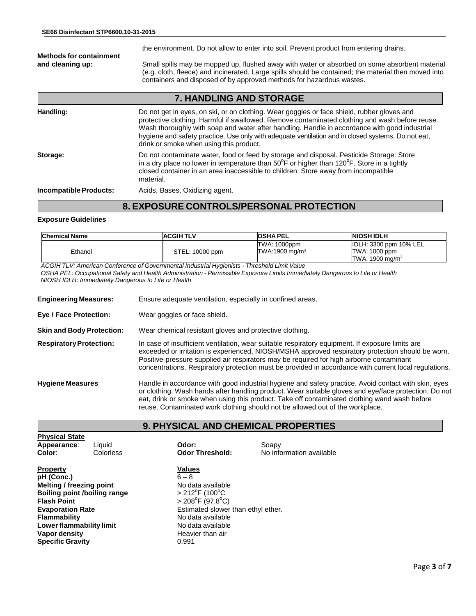the environment. Do not allow to enter into soil. Prevent product from entering drains. **Methods for containment** Small spills may be mopped up, flushed away with water or absorbed on some absorbent material (e.g. cloth, fleece) and incinerated. Large spills should be contained; the material then moved into containers and disposed of by approved methods for hazardous wastes.

# **7. HANDLING AND STORAGE**

| Handling:              | Do not get in eyes, on ski, or on clothing. Wear goggles or face shield, rubber gloves and<br>protective clothing. Harmful if swallowed. Remove contaminated clothing and wash before reuse.<br>Wash thoroughly with soap and water after handling. Handle in accordance with good industrial<br>hygiene and safety practice. Use only with adequate ventilation and in closed systems. Do not eat,<br>drink or smoke when using this product. |
|------------------------|------------------------------------------------------------------------------------------------------------------------------------------------------------------------------------------------------------------------------------------------------------------------------------------------------------------------------------------------------------------------------------------------------------------------------------------------|
| Storage:               | Do not contaminate water, food or feed by storage and disposal. Pesticide Storage: Store<br>in a dry place no lower in temperature than $50^{\circ}$ F or higher than $120^{\circ}$ F. Store in a tightly<br>closed container in an area inaccessible to children. Store away from incompatible<br>material.                                                                                                                                   |
| Incompatible Products: | Acids, Bases, Oxidizing agent.                                                                                                                                                                                                                                                                                                                                                                                                                 |

# **8. EXPOSURE CONTROLS/PERSONAL PROTECTION**

#### **Exposure Guidelines**

| <b>Chemical Name</b> | <b>ACGIH TLV</b> | <b>OSHA PEL</b>                                   | <b>NIOSH IDLH</b>                                                             |
|----------------------|------------------|---------------------------------------------------|-------------------------------------------------------------------------------|
| Ethanol              | STEL: 10000 ppm  | <b>TWA: 1000ppm</b><br>TWA:1900 mg/m <sup>3</sup> | <b>IDLH: 3300 ppm 10% LEL</b><br>TWA: 1000 ppm<br>TWA: 1900 mg/m <sup>3</sup> |

*ACGIH TLV: American Conference of Governmental Industrial Hygienists - Threshold Limit Value* OSHA PEL: Occupational Safety and Health Administration - Permissible Exposure Limits Immediately Dangerous to Life or Health *NIOSH IDLH*: *Immediately Dangerous to Life or Health*

| <b>Engineering Measures:</b>     | Ensure adequate ventilation, especially in confined areas.                                                                                                                                                                                                                                                                                                                                                 |
|----------------------------------|------------------------------------------------------------------------------------------------------------------------------------------------------------------------------------------------------------------------------------------------------------------------------------------------------------------------------------------------------------------------------------------------------------|
| Eye / Face Protection:           | Wear goggles or face shield.                                                                                                                                                                                                                                                                                                                                                                               |
| <b>Skin and Body Protection:</b> | Wear chemical resistant gloves and protective clothing.                                                                                                                                                                                                                                                                                                                                                    |
| <b>Respiratory Protection:</b>   | In case of insufficient ventilation, wear suitable respiratory equipment. If exposure limits are<br>exceeded or irritation is experienced, NIOSH/MSHA approved respiratory protection should be worn.<br>Positive-pressure supplied air respirators may be required for high airborne contaminant<br>concentrations. Respiratory protection must be provided in accordance with current local regulations. |
| <b>Hygiene Measures</b>          | Handle in accordance with good industrial hygiene and safety practice. Avoid contact with skin, eyes<br>or clothing. Wash hands after handling product. Wear suitable gloves and eye/face protection. Do not<br>eat, drink or smoke when using this product. Take off contaminated clothing wand wash before<br>reuse. Contaminated work clothing should not be allowed out of the workplace.              |

# **9. PHYSICAL AND CHEMICAL PROPERTIES**

| <b>Physical State</b><br>Appearance:<br>Color:                                                                                                                                                                                                   | Liauid<br>Colorless | Odor:<br><b>Odor Threshold:</b>                                                                                                                                                                                                           | Soapy<br>No information available |
|--------------------------------------------------------------------------------------------------------------------------------------------------------------------------------------------------------------------------------------------------|---------------------|-------------------------------------------------------------------------------------------------------------------------------------------------------------------------------------------------------------------------------------------|-----------------------------------|
| Property<br>pH (Conc.)<br><b>Melting / freezing point</b><br><b>Boiling point /boiling range</b><br><b>Flash Point</b><br><b>Evaporation Rate</b><br><b>Flammability</b><br>Lower flammability limit<br>Vapor density<br><b>Specific Gravity</b> |                     | Values<br>$6 - 8$<br>No data available<br>$>212^{\circ}$ F (100 $^{\circ}$ C<br>$>$ 208 <sup>°</sup> F (97.8 <sup>°</sup> C)<br>Estimated slower than ethyl ether.<br>No data available<br>No data available<br>Heavier than air<br>0.991 |                                   |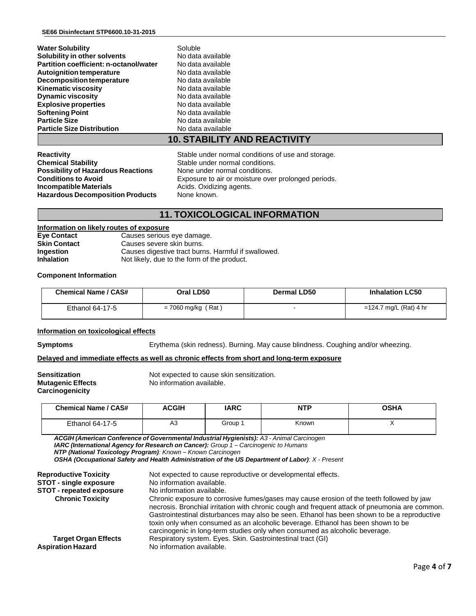| <b>Water Solubility</b>                        | Soluble                                                                               |  |
|------------------------------------------------|---------------------------------------------------------------------------------------|--|
| Solubility in other solvents                   | No data available                                                                     |  |
| Partition coefficient: n-octanol/water         | No data available                                                                     |  |
| Autoignition temperature                       | No data available                                                                     |  |
| <b>Decomposition temperature</b>               | No data available                                                                     |  |
| <b>Kinematic viscosity</b>                     | No data available                                                                     |  |
| <b>Dynamic viscosity</b>                       | No data available                                                                     |  |
| <b>Explosive properties</b>                    | No data available                                                                     |  |
| <b>Softening Point</b>                         | No data available                                                                     |  |
| <b>Particle Size</b>                           | No data available                                                                     |  |
| <b>Particle Size Distribution</b>              | No data available                                                                     |  |
|                                                | <b>10. STABILITY AND REACTIVITY</b>                                                   |  |
| <b>Reactivity</b><br><b>Chemical Stability</b> | Stable under normal conditions of use and storage.<br>Stable under normal conditions. |  |
| <b>Possibility of Hazardous Reactions</b>      | None under normal conditions                                                          |  |

**Possibility of Hazardous Reactions None under normal conditions.**<br>**Conditions to Avoid Reactions Exposure to air or moisture over Incompatible Materials Acids.** Oxidizing agents. **Hazardous Decomposition Products** None known.

Exposure to air or moisture over prolonged periods.

# **11. TOXICOLOGICAL INFORMATION**

### **Information on likely routes of exposure**

| Eye Contact       | Causes serious eye damage.                          |
|-------------------|-----------------------------------------------------|
| Skin Contact      | Causes severe skin burns.                           |
| Ingestion         | Causes digestive tract burns. Harmful if swallowed. |
| <b>Inhalation</b> | Not likely, due to the form of the product.         |
|                   |                                                     |

#### **Component Information**

| <b>Chemical Name / CAS#</b> | Oral LD50            | Dermal LD50 | <b>Inhalation LC50</b>    |
|-----------------------------|----------------------|-------------|---------------------------|
| Ethanol 64-17-5             | $= 7060$ mg/kg (Rat) |             | $=$ 124.7 mg/L (Rat) 4 hr |

#### **Information on toxicological effects**

**Symptoms** Erythema (skin redness). Burning. May cause blindness. Coughing and/or wheezing.

#### **Delayed and immediate effects as well as chronic effects from short and long-term exposure**

**Carcinogenicity**

**Sensitization**<br> **Mutagenic Effects**<br>
No information available. **No information available.** 

| <b>Chemical Name / CAS#</b> | <b>ACGIH</b> | <b>IARC</b> | <b>NTP</b> | <b>OSHA</b> |
|-----------------------------|--------------|-------------|------------|-------------|
| Ethanol 64-17-5             | A3           | Group 1     | Known      |             |

*ACGIH (American Conference of Governmental Industrial Hygienists): A3 - Animal Carcinogen IARC (International Agency for Research on Cancer): Group 1 – Carcinogenic to Humans NTP (National Toxicology Program): Known – Known Carcinogen OSHA (Occupational Safety and Health Administration of the US Department of Labor)*: *X - Present* **Reproductive Toxicity** Not expected to cause reproductive or developmental effects.<br>**STOT - single exposure** No information available.

| <b>STOT - single exposure</b>   | No information available.                                                                                                                                                                                                                                                                                                                                                    |
|---------------------------------|------------------------------------------------------------------------------------------------------------------------------------------------------------------------------------------------------------------------------------------------------------------------------------------------------------------------------------------------------------------------------|
| <b>STOT - repeated exposure</b> | No information available.                                                                                                                                                                                                                                                                                                                                                    |
| <b>Chronic Toxicity</b>         | Chronic exposure to corrosive fumes/gases may cause erosion of the teeth followed by jaw<br>necrosis. Bronchial irritation with chronic cough and frequent attack of pneumonia are common.<br>Gastrointestinal disturbances may also be seen. Ethanol has been shown to be a reproductive<br>toxin only when consumed as an alcoholic beverage. Ethanol has been shown to be |
|                                 | carcinogenic in long-term studies only when consumed as alcoholic beverage.                                                                                                                                                                                                                                                                                                  |
| <b>Target Organ Effects</b>     | Respiratory system. Eyes. Skin. Gastrointestinal tract (GI)                                                                                                                                                                                                                                                                                                                  |
| <b>Aspiration Hazard</b>        | No information available.                                                                                                                                                                                                                                                                                                                                                    |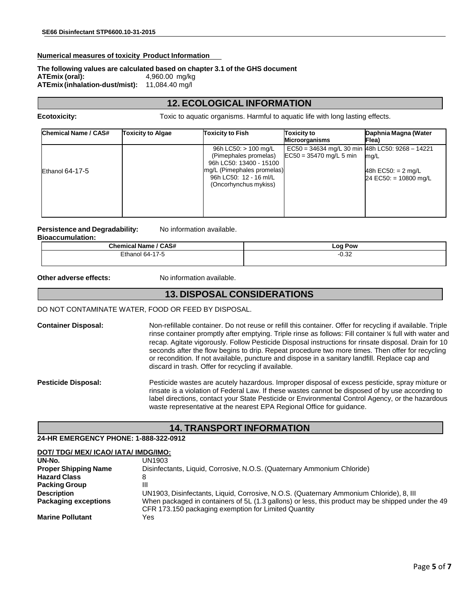#### **Numerical measures of toxicity Product Information**

# **The following values are calculated based on chapter 3.1 of the GHS document**

**ATEmix (oral):** 4,960.00 mg/kg **ATEmix(inhalation-dust/mist):** 11,084.40 mg/l

# **12. ECOLOGICAL INFORMATION**

**Ecotoxicity:** Toxic to aquatic organisms. Harmful to aquatic life with long lasting effects.

| Chemical Name / CAS#   | <b>Toxicity to Algae</b> | <b>Toxicity to Fish</b>                                                                                                                                     | <b>Toxicity to</b><br><b>Microorganisms</b>                                  | Daphnia Magna (Water<br>Flea)                                 |
|------------------------|--------------------------|-------------------------------------------------------------------------------------------------------------------------------------------------------------|------------------------------------------------------------------------------|---------------------------------------------------------------|
| <b>Ethanol 64-17-5</b> |                          | 96h LC50: $> 100$ mg/L<br>(Pimephales promelas)<br>96h LC50: 13400 - 15100<br>mg/L (Pimephales promelas)<br>96h LC50: 12 - 16 ml/L<br>(Oncorhynchus mykiss) | EC50 = 34634 mg/L 30 min 48h LC50: 9268 - 14221<br>$EC50 = 35470$ mg/L 5 min | mg/L<br>48h EC50: = $2 \text{ mg/L}$<br>24 EC50: = 10800 mg/L |

# **Persistence and Degradability:** No information available.

| <b>Bioaccumulation:</b> |  |
|-------------------------|--|
|                         |  |

| <b>Chemical Name / CAS#</b> | ∟oa∶<br>Pow  |
|-----------------------------|--------------|
| Ethanol 64-17-5             | ∩ີ?≏<br>∪.∪∠ |
|                             |              |

**Other adverse effects:** No information available.

# **13. DISPOSAL CONSIDERATIONS**

#### DO NOT CONTAMINATE WATER, FOOD OR FEED BY DISPOSAL.

**Container Disposal:** Non-refillable container. Do not reuse or refill this container. Offer for recycling if available. Triple rinse container promptly after emptying. Triple rinse as follows: Fill container ¼ full with water and recap. Agitate vigorously. Follow Pesticide Disposal instructions for rinsate disposal. Drain for 10 seconds after the flow begins to drip. Repeat procedure two more times. Then offer for recycling or recondition. If not available, puncture and dispose in a sanitary landfill. Replace cap and discard in trash. Offer for recycling if available.

**Pesticide Disposal:** Pesticide wastes are acutely hazardous. Improper disposal of excess pesticide, spray mixture or rinsate is a violation of Federal Law. If these wastes cannot be disposed of by use according to label directions, contact your State Pesticide or Environmental Control Agency, or the hazardous waste representative at the nearest EPA Regional Office for guidance.

# **14. TRANSPORT INFORMATION**

#### **24-HR EMERGENCY PHONE: 1-888-322-0912**

#### **DOT/ TDG/ MEX/ ICAO/ IATA/ IMDG/IMO:**

| UN-No.                      | UN1903                                                                                            |
|-----------------------------|---------------------------------------------------------------------------------------------------|
| <b>Proper Shipping Name</b> | Disinfectants, Liquid, Corrosive, N.O.S. (Quaternary Ammonium Chloride)                           |
| <b>Hazard Class</b>         |                                                                                                   |
| <b>Packing Group</b>        | Ш                                                                                                 |
| <b>Description</b>          | UN1903, Disinfectants, Liquid, Corrosive, N.O.S. (Quaternary Ammonium Chloride), 8, III           |
| <b>Packaging exceptions</b> | When packaged in containers of 5L (1.3 gallons) or less, this product may be shipped under the 49 |
|                             | CFR 173.150 packaging exemption for Limited Quantity                                              |
| <b>Marine Pollutant</b>     | Yes                                                                                               |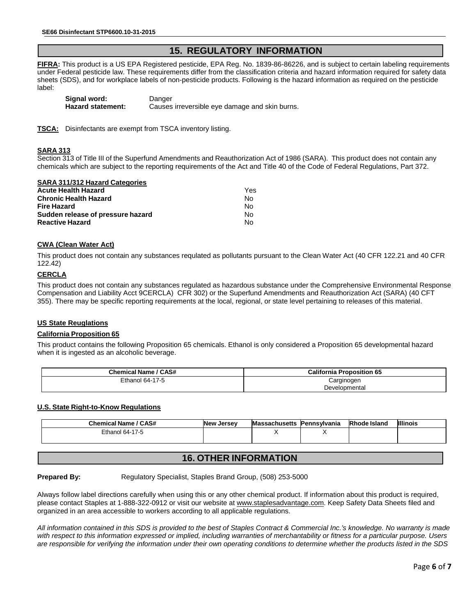# **15. REGULATORY INFORMATION**

**FIFRA:** This product is a US EPA Registered pesticide, EPA Reg. No. 1839-86-86226, and is subject to certain labeling requirements under Federal pesticide law. These requirements differ from the classification criteria and hazard information required for safety data sheets (SDS), and for workplace labels of non-pesticide products. Following is the hazard information as required on the pesticide label:

| Signal word:             | Danger                                         |
|--------------------------|------------------------------------------------|
| <b>Hazard statement:</b> | Causes irreversible eye damage and skin burns. |

**TSCA:** Disinfectants are exempt from TSCA inventory listing.

#### **SARA 313**

Section 313 of Title III of the Superfund Amendments and Reauthorization Act of 1986 (SARA). This product does not contain any chemicals which are subject to the reporting requirements of the Act and Title 40 of the Code of Federal Regulations, Part 372.

| <b>SARA 311/312 Hazard Categories</b> |     |
|---------------------------------------|-----|
| <b>Acute Health Hazard</b>            | Yes |
| <b>Chronic Health Hazard</b>          | No  |
| Fire Hazard                           | No  |
| Sudden release of pressure hazard     | No  |
| <b>Reactive Hazard</b>                | N٥  |

### **CWA (Clean Water Act)**

This product does not contain any substances requlated as pollutants pursuant to the Clean Water Act (40 CFR 122.21 and 40 CFR 122.42)

#### **CERCLA**

This product does not contain any substances regulated as hazardous substance under the Comprehensive Environmental Response Compensation and Liability Acct 9CERCLA) CFR 302) or the Superfund Amendments and Reauthorization Act (SARA) (40 CFT 355). There may be specific reporting requirements at the local, regional, or state level pertaining to releases of this material.

#### **US State Reuglations**

#### **California Proposition 65**

This product contains the following Proposition 65 chemicals. Ethanol is only considered a Proposition 65 developmental hazard when it is ingested as an alcoholic beverage.

| <b>Chemical Name / CAS#</b> | <b>California Proposition 65</b> |
|-----------------------------|----------------------------------|
| Ethanol 64-17-5             | Carginogen                       |
|                             | Developmental                    |

#### **U.S. State Right-to-Know Regulations**

| <b>Chemical Name / CAS#</b> | <b>New Jersey</b> | Massachusetts  Pennsylvania | <b>Rhode Island</b> | <b>Illinois</b> |
|-----------------------------|-------------------|-----------------------------|---------------------|-----------------|
| Ethanol 64-17-5             |                   |                             |                     |                 |
|                             |                   |                             |                     |                 |

## **16. OTHER INFORMATION**

**Prepared By:** Regulatory Specialist, Staples Brand Group, (508) 253-5000

Always follow label directions carefully when using this or any other chemical product. If information about this product is required, please contact Staples at 1-888-322-0912 or visit our website a[t www.staplesadvantage.com.](http://www.staplesadvantage.com/) Keep Safety Data Sheets filed and organized in an area accessible to workers according to all applicable regulations.

*All information contained in this SDS is provided to the best of Staples Contract & Commercial Inc.'s knowledge. No warranty is made with respect to this information expressed or implied, including warranties of merchantability or fitness for a particular purpose. Users are responsible for verifying the information under their own operating conditions to determine whether the products listed in the SDS*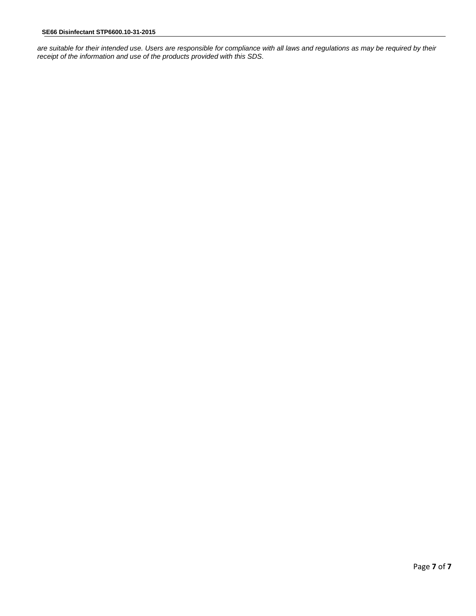*are suitable for their intended use. Users are responsible for compliance with all laws and regulations as may be required by their receipt of the information and use of the products provided with this SDS*.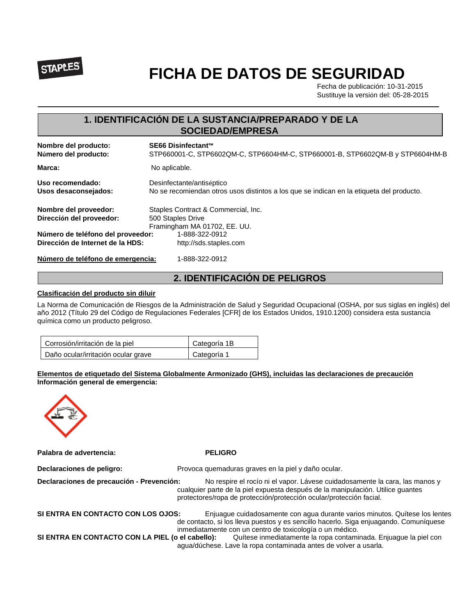

# **FICHA DE DATOS DE SEGURIDAD**

Fecha de publicación: 10-31-2015 Sustituye la versión del: 05-28-2015

# **1. IDENTIFICACIÓN DE LA SUSTANCIA/PREPARADO Y DE LA SOCIEDAD/EMPRESA**

| Nombre del producto:<br>Número del producto: | SE66 Disinfectant™<br>STP660001-C, STP6602QM-C, STP6604HM-C, STP660001-B, STP6602QM-B y STP6604HM-B |
|----------------------------------------------|-----------------------------------------------------------------------------------------------------|
| Marca:                                       | No aplicable.                                                                                       |
| Uso recomendado:                             | Desinfectante/antiséptico                                                                           |
| Usos desaconsejados:                         | No se recomiendan otros usos distintos a los que se indican en la etiqueta del producto.            |
| Nombre del proveedor:                        | Staples Contract & Commercial, Inc.                                                                 |
| Dirección del proveedor:                     | 500 Staples Drive                                                                                   |
|                                              | Framingham MA 01702, EE. UU.                                                                        |
| Número de teléfono del proveedor:            | 1-888-322-0912                                                                                      |
| Dirección de Internet de la HDS:             | http://sds.staples.com                                                                              |
| Número de teléfono de emergencia:            | 1-888-322-0912                                                                                      |

# **2. IDENTIFICACIÓN DE PELIGROS**

### **Clasificación del producto sin diluir**

La Norma de Comunicación de Riesgos de la Administración de Salud y Seguridad Ocupacional (OSHA, por sus siglas en inglés) del año 2012 (Título 29 del Código de Regulaciones Federales [CFR] de los Estados Unidos, 1910.1200) considera esta sustancia química como un producto peligroso.

| Corrosión/irritación de la piel     | Categoría 1B |
|-------------------------------------|--------------|
| Daño ocular/irritación ocular grave | Categoría 1  |

### **Elementos de etiquetado del Sistema Globalmente Armonizado (GHS), incluidas las declaraciones de precaución Información general de emergencia:**



**Palabra de advertencia: PELIGRO**

| Declaraciones de peligro:                        | Provoca quemaduras graves en la piel y daño ocular.                                                                                                                                                                                   |
|--------------------------------------------------|---------------------------------------------------------------------------------------------------------------------------------------------------------------------------------------------------------------------------------------|
| Declaraciones de precaución - Prevención:        | No respire el rocío ni el vapor. Lávese cuidadosamente la cara, las manos y<br>cualquier parte de la piel expuesta después de la manipulación. Utilice guantes<br>protectores/ropa de protección/protección ocular/protección facial. |
| SI ENTRA EN CONTACTO CON LOS OJOS:               | Enjuaque cuidadosamente con aqua durante varios minutos. Quítese los lentes<br>de contacto, si los lleva puestos y es sencillo hacerlo. Siga enjuagando. Comuníquese<br>inmediatamente con un centro de toxicología o un médico.      |
| SI ENTRA EN CONTACTO CON LA PIEL (o el cabello): | Quítese inmediatamente la ropa contaminada. Enjuague la piel con<br>agua/dúchese. Lave la ropa contaminada antes de volver a usarla.                                                                                                  |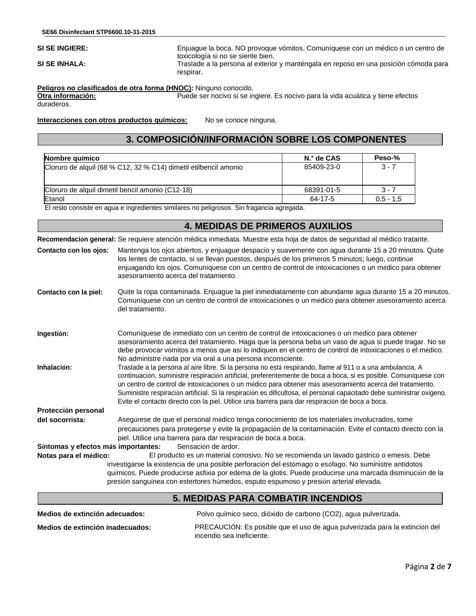**SI SE INGIERE:** Enjuague la boca. NO provoque vómitos. Comuníquese con un médico o un centro de toxicología si no se siente bien.

**SI SE INHALA:** Traslade a la persona al exterior y manténgala en reposo en una posición cómoda para

**Peligros no clasificados de otra forma (HNOC):** Ninguno conocido.

**Otra información:** Puede ser nocivo si se ingiere. Es nocivo para la vida acuática y tiene efectos duraderos.

**Interacciones con otros productos químicos:** No se conoce ninguna.

# **3. COMPOSICIÓN/INFORMACIÓN SOBRE LOS COMPONENTES**

| Nombre químico                                                   | N.º de CAS | Peso-%      |
|------------------------------------------------------------------|------------|-------------|
| Cloruro de alguil (68 % C12, 32 % C14) dimetil etilbencil amonio | 85409-23-0 | $3 - 7$     |
| Cloruro de alquil dimetil bencil amonio (C12-18)                 | 68391-01-5 | $3 - 7$     |
| Etanol                                                           | 64-17-5    | $0.5 - 1.5$ |

El resto consiste en agua e ingredientes similares no peligrosos. Sin fragancia agregada.

respirar.

# **Recomendación general:** Se requiere atención médica inmediata. Muestre esta hoja de datos de seguridad al médico tratante. **Contacto con los ojos:** Mantenga los ojos abiertos, y enjuague despacio y suavemente con agua durante 15 a 20 minutos. Quite los lentes de contacto, si se llevan puestos, después de los primeros 5 minutos; luego, continúe enjuagando los ojos. Comuníquese con un centro de control de intoxicaciones o un médico para obtener asesoramiento acerca del tratamiento. **Contacto con la piel:** Quite la ropa contaminada. Enjuague la piel inmediatamente con abundante agua durante 15 a 20 minutos. Comuníquese con un centro de control de intoxicaciones o un médico para obtener asesoramiento acerca del tratamiento. **Ingestión:** Comuníquese de inmediato con un centro de control de intoxicaciones o un médico para obtener asesoramiento acerca del tratamiento. Haga que la persona beba un vaso de agua si puede tragar. No se debe provocar vómitos a menos que así lo indiquen en el centro de control de intoxicaciones o el médico. No administre nada por vía oral a una persona inconsciente. **Inhalación:** Traslade a la persona al aire libre. Si la persona no está respirando, llame al 911 o a una ambulancia. A continuación, suministre respiración artificial, preferentemente de boca a boca, si es posible. Comuníquese con un centro de control de intoxicaciones o un médico para obtener más asesoramiento acerca del tratamiento. Suministre respiración artificial. Si la respiración es dificultosa, el personal capacitado debe suministrar oxígeno. Evite el contacto directo con la piel. Utilice una barrera para dar respiración de boca a boca. **Protección personal del socorrista:** Asegúrese de que el personal médico tenga conocimiento de los materiales involucrados, tome precauciones para protegerse y evite la propagación de la contaminación. Evite el contacto directo con la piel. Utilice una barrera para dar respiración de boca a boca. **Síntomas y efectos más importantes:** Sensación de ardor. **Notas para el médico:** El producto es un material corrosivo. No se recomienda un lavado gástrico o emesis. Debe investigarse la existencia de una posible perforación del estómago o esófago. No suministre antídotos químicos. Puede producirse asfixia por edema de la glotis. Puede producirse una marcada disminución de la presión sanguínea con estertores húmedos, esputo espumoso y presión arterial elevada. **4. MEDIDAS DE PRIMEROS AUXILIOS**

| <b>5. MEDIDAS PARA COMBATIR INCENDIOS</b> |                                                                                                          |  |
|-------------------------------------------|----------------------------------------------------------------------------------------------------------|--|
| Medios de extinción adecuados:            | Polvo químico seco, dióxido de carbono (CO2), agua pulverizada.                                          |  |
| Medios de extinción inadecuados:          | PRECAUCIÓN: Es posible que el uso de aqua pulverizada para la extinción del<br>incendio sea ineficiente. |  |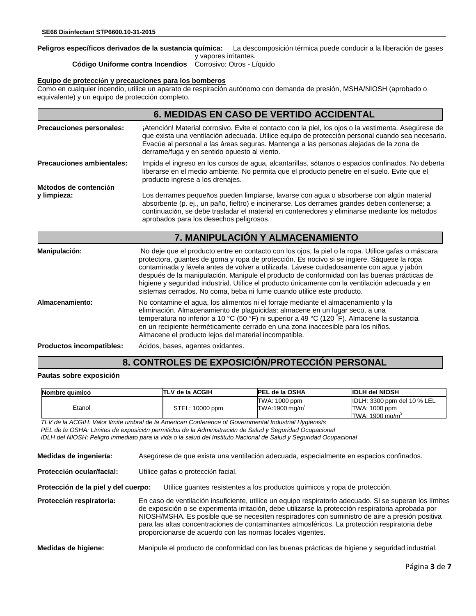# **Peligros específicos derivados de la sustancia química:** La descomposición térmica puede conducir a la liberación de gases

y vapores irritantes.<br>Corrosivo: Otros - Líquido **Código Uniforme contra Incendios** 

#### **Equipo de protección y precauciones para los bomberos**

Como en cualquier incendio, utilice un aparato de respiración autónomo con demanda de presión, MSHA/NIOSH (aprobado o equivalente) y un equipo de protección completo.

|                                      | <b>6. MEDIDAS EN CASO DE VERTIDO ACCIDENTAL</b>                                                                                                                                                                                                                                                                                                                                                                                                                                                                                                                           |
|--------------------------------------|---------------------------------------------------------------------------------------------------------------------------------------------------------------------------------------------------------------------------------------------------------------------------------------------------------------------------------------------------------------------------------------------------------------------------------------------------------------------------------------------------------------------------------------------------------------------------|
| Precauciones personales:             | ¡Atención! Material corrosivo. Evite el contacto con la piel, los ojos o la vestimenta. Asegúrese de<br>que exista una ventilación adecuada. Utilice equipo de protección personal cuando sea necesario.<br>Evacúe al personal a las áreas seguras. Mantenga a las personas alejadas de la zona de<br>derrame/fuga y en sentido opuesto al viento.                                                                                                                                                                                                                        |
| <b>Precauciones ambientales:</b>     | Impida el ingreso en los cursos de agua, alcantarillas, sótanos o espacios confinados. No debería<br>liberarse en el medio ambiente. No permita que el producto penetre en el suelo. Evite que el<br>producto ingrese a los drenajes.                                                                                                                                                                                                                                                                                                                                     |
| Métodos de contención<br>y limpieza: | Los derrames pequeños pueden limpiarse, lavarse con agua o absorberse con algún material<br>absorbente (p. ej., un paño, fieltro) e incinerarse. Los derrames grandes deben contenerse; a<br>continuación, se debe trasladar el material en contenedores y eliminarse mediante los métodos<br>aprobados para los desechos peligrosos.                                                                                                                                                                                                                                     |
|                                      | 7. MANIPULACIÓN Y ALMACENAMIENTO                                                                                                                                                                                                                                                                                                                                                                                                                                                                                                                                          |
| Manipulación:                        | No deje que el producto entre en contacto con los ojos, la piel o la ropa. Utilice gafas o máscara<br>protectora, guantes de goma y ropa de protección. Es nocivo si se ingiere. Sáquese la ropa<br>contaminada y lávela antes de volver a utilizarla. Lávese cuidadosamente con agua y jabón<br>después de la manipulación. Manipule el producto de conformidad con las buenas prácticas de<br>higiene y seguridad industrial. Utilice el producto únicamente con la ventilación adecuada y en<br>sistemas cerrados. No coma, beba ni fume cuando utilice este producto. |
| Almacenamiento:                      | No contamine el agua, los alimentos ni el forraje mediante el almacenamiento y la<br>eliminación. Almacenamiento de plaguicidas: almacene en un lugar seco, a una<br>temperatura no inferior a 10 °C (50 °F) ni superior a 49 °C (120 °F). Almacene la sustancia<br>en un recipiente herméticamente cerrado en una zona inaccesible para los niños.<br>Almacene el producto lejos del material incompatible.                                                                                                                                                              |
| <b>Productos incompatibles:</b>      | Ácidos, bases, agentes oxidantes.                                                                                                                                                                                                                                                                                                                                                                                                                                                                                                                                         |

# **8. CONTROLES DE EXPOSICIÓN/PROTECCIÓN PERSONAL**

#### **Pautas sobre exposición**

| Nombre auímico | ITLV de la ACGIH | <b>PEL de la OSHA</b>                       | <b>IDLH del NIOSH</b>                        |
|----------------|------------------|---------------------------------------------|----------------------------------------------|
| Etanol         | STEL: 10000 ppm  | TWA: 1000 ppm<br>TWA:1900 mg/m <sup>3</sup> | IDLH: 3300 ppm del 10 % LEL<br>TWA: 1000 ppm |
|                |                  |                                             | TWA: 1900 mg/m <sup>3</sup>                  |

*TLV de la ACGIH: Valor límite umbral de la American Conference of Governmental Industrial Hygienists PEL de la OSHA: Límites de exposición permitidos de la Administración de Salud y Seguridad Ocupacional IDLH del NIOSH*: *Peligro inmediato para la vida o la salud del Instituto Nacional de Salud y Seguridad Ocupacional*

| Medidas de ingeniería: |  | Asegúrese de que exista una ventilación adecuada, especialmente en espacios confinados. |
|------------------------|--|-----------------------------------------------------------------------------------------|
|                        |  |                                                                                         |

**Protección ocular/facial:** Utilice gafas o protección facial.

**Protección de la piel y del cuerpo:** Utilice guantes resistentes a los productos químicos y ropa de protección.

**Protección respiratoria:** En caso de ventilación insuficiente, utilice un equipo respiratorio adecuado. Si se superan los límites de exposición o se experimenta irritación, debe utilizarse la protección respiratoria aprobada por NIOSH/MSHA. Es posible que se necesiten respiradores con suministro de aire a presión positiva para las altas concentraciones de contaminantes atmosféricos. La protección respiratoria debe proporcionarse de acuerdo con las normas locales vigentes.

**Medidas de higiene:** Manipule el producto de conformidad con las buenas prácticas de higiene y seguridad industrial.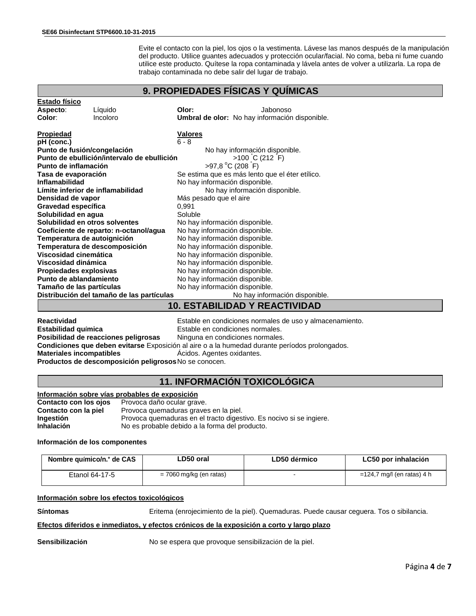Evite el contacto con la piel, los ojos o la vestimenta. Lávese las manos después de la manipulación del producto. Utilice guantes adecuados y protección ocular/facial. No coma, beba ni fume cuando utilice este producto. Quítese la ropa contaminada y lávela antes de volver a utilizarla. La ropa de trabajo contaminada no debe salir del lugar de trabajo.

## **9. PROPIEDADES FÍSICAS Y QUÍMICAS**

| <b>Estado físico</b>              |                                             |                                                 |  |  |
|-----------------------------------|---------------------------------------------|-------------------------------------------------|--|--|
| Aspecto:                          | Líquido                                     | Olor:<br>Jabonoso                               |  |  |
| Color:                            | Incoloro                                    | Umbral de olor: No hay información disponible.  |  |  |
|                                   |                                             |                                                 |  |  |
| <b>Propiedad</b>                  |                                             | <b>Valores</b>                                  |  |  |
| pH (conc.)                        |                                             | $6 - 8$                                         |  |  |
| Punto de fusión/congelación       |                                             | No hay información disponible.                  |  |  |
|                                   | Punto de ebullición/intervalo de ebullición | $>100$ C (212 F)                                |  |  |
| Punto de inflamación              |                                             | >97,8 °C (208 F)                                |  |  |
| Tasa de evaporación               |                                             | Se estima que es más lento que el éter etílico. |  |  |
| Inflamabilidad                    |                                             | No hay información disponible.                  |  |  |
| Límite inferior de inflamabilidad |                                             | No hay información disponible.                  |  |  |
| Densidad de vapor                 |                                             | Más pesado que el aire                          |  |  |
| Gravedad específica               |                                             | 0,991                                           |  |  |
| Solubilidad en aqua               |                                             | Soluble                                         |  |  |
| Solubilidad en otros solventes    |                                             | No hay información disponible.                  |  |  |
|                                   | Coeficiente de reparto: n-octanol/agua      | No hay información disponible.                  |  |  |
| Temperatura de autoignición       |                                             | No hay información disponible.                  |  |  |
|                                   | Temperatura de descomposición               | No hay información disponible.                  |  |  |
| Viscosidad cinemática             |                                             | No hay información disponible.                  |  |  |
| Viscosidad dinámica               |                                             | No hay información disponible.                  |  |  |
| Propiedades explosivas            |                                             | No hay información disponible.                  |  |  |
| Punto de ablandamiento            |                                             | No hay información disponible.                  |  |  |
| Tamaño de las partículas          |                                             | No hay información disponible.                  |  |  |
|                                   | Distribución del tamaño de las partículas   | No hay información disponible.                  |  |  |
|                                   | <b>10. ESTABILIDAD Y REACTIVIDAD</b>        |                                                 |  |  |
|                                   |                                             |                                                 |  |  |

**Reactividad** Estable en condiciones normales de uso y almacenamiento. Estable en condiciones normales.<br>Ninguna en condiciones normales. **Posibilidad de reacciones peligrosas Condiciones que deben evitarse** Exposición al aire o a la humedad durante períodos prolongados. Ácidos. Agentes oxidantes. **Productos de descomposición peligrosos**No se conocen.

# **11. INFORMACIÓN TOXICOLÓGICA**

| Información sobre vías probables de exposición |                                                                     |  |
|------------------------------------------------|---------------------------------------------------------------------|--|
| Contacto con los ojos                          | Provoca daño ocular grave.                                          |  |
| Contacto con la piel                           | Provoca quemaduras graves en la piel.                               |  |
| <b>Ingestión</b>                               | Provoca quemaduras en el tracto digestivo. Es nocivo si se ingiere. |  |
| <b>Inhalación</b>                              | No es probable debido a la forma del producto.                      |  |

#### **Información de los componentes**

| Nombre químico/n.° de CAS | LD50 oral                 | LD50 dérmico | LC50 por inhalación           |
|---------------------------|---------------------------|--------------|-------------------------------|
| Etanol 64-17-5            | $= 7060$ mg/kg (en ratas) |              | $=$ 124,7 mg/l (en ratas) 4 h |

#### **Información sobre los efectos toxicológicos**

**Síntomas** Eritema (enrojecimiento de la piel). Quemaduras. Puede causar ceguera. Tos o sibilancia.

#### **Efectos diferidos e inmediatos, y efectos crónicos de la exposición a corto y largo plazo**

**Sensibilización** No se espera que provoque sensibilización de la piel.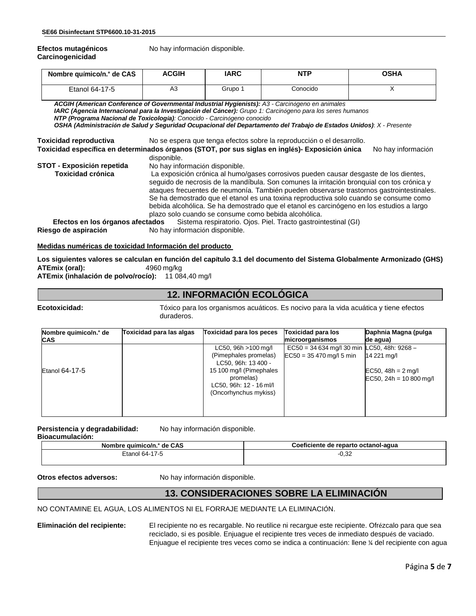**Efectos mutagénicos** No hay información disponible. **Carcinogenicidad**

| Nombre químico/n.º de CAS | <b>ACGIH</b> | IARC    | <b>NTP</b> | <b>OSHA</b> |
|---------------------------|--------------|---------|------------|-------------|
| Etanol 64-17-5            | A3           | Grupo 1 | Conocido   |             |

*ACGIH (American Conference of Governmental Industrial Hygienists): A3 - Carcinógeno en animales IARC (Agencia Internacional para la Investigación del Cáncer): Grupo 1: Carcinógeno para los seres humanos NTP (Programa Nacional de Toxicología): Conocido - Carcinógeno conocido OSHA (Administración de Salud y Seguridad Ocupacional del Departamento del Trabajo de Estados Unidos)*: *X - Presente*

**Toxicidad reproductiva** No se espera que tenga efectos sobre la reproducción o el desarrollo.

**Toxicidad específica en determinados órganos (STOT, por sus siglas en inglés)- Exposición única** No hay información disponible.

| <b>STOT - Exposición repetida</b> | No hay información disponible.                                                                                                                                                                                                                                                  |
|-----------------------------------|---------------------------------------------------------------------------------------------------------------------------------------------------------------------------------------------------------------------------------------------------------------------------------|
| <b>Toxicidad crónica</b>          | La exposición crónica al humo/gases corrosivos pueden causar desgaste de los dientes,<br>seguido de necrosis de la mandíbula. Son comunes la irritación bronguial con tos crónica y<br>ataques frecuentes de neumonía. También pueden observarse trastornos gastrointestinales. |
|                                   | Se ha demostrado que el etanol es una toxina reproductiva solo cuando se consume como<br>bebida alcohólica. Se ha demostrado que el etanol es carcinógeno en los estudios a largo<br>plazo solo cuando se consume como bebida alcohólica.                                       |
|                                   | <b>Efectos en los órganos afectados</b> Sistema respiratorio. Ojos. Piel. Tracto gastrointestinal (GI)                                                                                                                                                                          |
|                                   |                                                                                                                                                                                                                                                                                 |
| Riesgo de aspiración              | No hay información disponible.                                                                                                                                                                                                                                                  |

#### **Medidas numéricas de toxicidad Información del producto**

**Los siguientes valores se calculan en función del capítulo 3.1 del documento del Sistema Globalmente Armonizado (GHS) ATEmix (oral):** 

**ATEmix (inhalación de polvo/rocío):** 11 084,40 mg/l

# **12. INFORMACIÓN ECOLÓGICA**

**Ecotoxicidad:** Tóxico para los organismos acuáticos. Es nocivo para la vida acuática y tiene efectos duraderos.

| Nombre químico/n.º de<br><b>CAS</b> | Toxicidad para las algas | Toxicidad para los peces                                                                                                                                           | <b>Toxicidad para los</b><br>microorganismos                               | Daphnia Magna (pulga<br>de agua)                                 |
|-------------------------------------|--------------------------|--------------------------------------------------------------------------------------------------------------------------------------------------------------------|----------------------------------------------------------------------------|------------------------------------------------------------------|
| Etanol 64-17-5                      |                          | $LC50, 96h > 100$ mg/l<br>(Pimephales promelas)<br>LC50, 96h: 13 400 -<br>15 100 mg/l (Pimephales<br>promelas)<br>LC50, 96h: 12 - 16 ml/l<br>(Oncorhynchus mykiss) | $EC50 = 34634$ mg/l 30 min LC50, 48h: 9268 -<br>$EC50 = 35 470$ mg/l 5 min | 14 221 ma/l<br>EC50, $48h = 2$ mg/l<br>$EC50, 24h = 10,800$ mg/l |

Persistencia y degradabilidad: No hay información disponible. **Bioacumulación:** 

| mbre auímico/n.° de CAS                       | Coeficiente de r         |  |  |
|-----------------------------------------------|--------------------------|--|--|
| Nombr <sub>a</sub>                            | e reparto octanol-aqua ( |  |  |
| 17.5<br>≟tanol 64 <sup>∡</sup><br>$\sim$<br>. | ה ה<br>י ∠כ,∪            |  |  |

**Otros efectos adversos:** No hay información disponible.

# **13. CONSIDERACIONES SOBRE LA ELIMINACIÓN**

NO CONTAMINE EL AGUA, LOS ALIMENTOS NI EL FORRAJE MEDIANTE LA ELIMINACIÓN.

**Eliminación del recipiente:** El recipiente no es recargable. No reutilice ni recargue este recipiente. Ofrézcalo para que sea reciclado, si es posible. Enjuague el recipiente tres veces de inmediato después de vaciado. Enjuague el recipiente tres veces como se indica a continuación: llene ¼ del recipiente con agua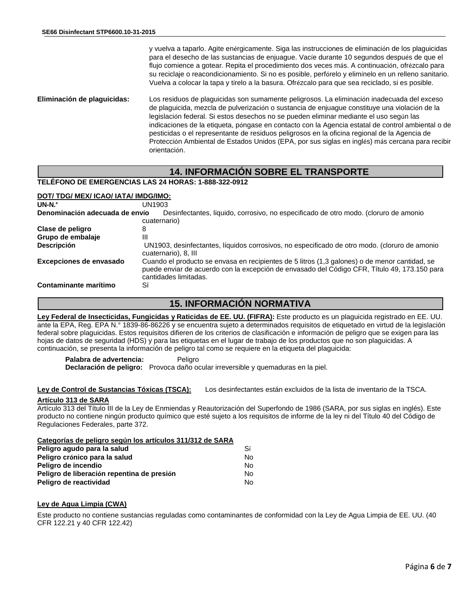y vuelva a taparlo. Agite enérgicamente. Siga las instrucciones de eliminación de los plaguicidas para el desecho de las sustancias de enjuague. Vacíe durante 10 segundos después de que el flujo comience a gotear. Repita el procedimiento dos veces más. A continuación, ofrézcalo para su reciclaje o reacondicionamiento. Si no es posible, perfórelo y elimínelo en un relleno sanitario. Vuelva a colocar la tapa y tírelo a la basura. Ofrézcalo para que sea reciclado, si es posible.

**Eliminación de plaguicidas:** Los residuos de plaguicidas son sumamente peligrosos. La eliminación inadecuada del exceso de plaguicida, mezcla de pulverización o sustancia de enjuague constituye una violación de la legislación federal. Si estos desechos no se pueden eliminar mediante el uso según las indicaciones de la etiqueta, póngase en contacto con la Agencia estatal de control ambiental o de pesticidas o el representante de residuos peligrosos en la oficina regional de la Agencia de Protección Ambiental de Estados Unidos (EPA, por sus siglas en inglés) más cercana para recibir orientación.

# **14. INFORMACIÓN SOBRE EL TRANSPORTE**

#### **TELÉFONO DE EMERGENCIAS LAS 24 HORAS: 1-888-322-0912**

#### **DOT/ TDG/ MEX/ ICAO/ IATA/ IMDG/IMO:**

| $UN-N.°$                       | UN1903                                                                                                                                                                                                                 |
|--------------------------------|------------------------------------------------------------------------------------------------------------------------------------------------------------------------------------------------------------------------|
| Denominación adecuada de envío | Desinfectantes, líquido, corrosivo, no especificado de otro modo. (cloruro de amonio                                                                                                                                   |
|                                | cuaternario)                                                                                                                                                                                                           |
| Clase de peligro               | 8                                                                                                                                                                                                                      |
| Grupo de embalaje              | Ш                                                                                                                                                                                                                      |
| <b>Descripción</b>             | UN1903, desinfectantes, líquidos corrosivos, no especificado de otro modo. (cloruro de amonio<br>cuaternario), 8, III                                                                                                  |
| Excepciones de envasado        | Cuando el producto se envasa en recipientes de 5 litros (1,3 galones) o de menor cantidad, se<br>puede enviar de acuerdo con la excepción de envasado del Código CFR, Título 49, 173.150 para<br>cantidades limitadas. |
| Contaminante marítimo          | Sí                                                                                                                                                                                                                     |

## **15. INFORMACIÓN NORMATIVA**

**Ley Federal de Insecticidas, Fungicidas y Raticidas de EE. UU. (FIFRA):** Este producto es un plaguicida registrado en EE. UU. ante la EPA, Reg. EPA N.° 1839-86-86226 y se encuentra sujeto a determinados requisitos de etiquetado en virtud de la legislación federal sobre plaguicidas. Estos requisitos difieren de los criterios de clasificación e información de peligro que se exigen para las hojas de datos de seguridad (HDS) y para las etiquetas en el lugar de trabajo de los productos que no son plaguicidas. A continuación, se presenta la información de peligro tal como se requiere en la etiqueta del plaguicida:

Palabra de advertencia: Peligro **Declaración de peligro:** Provoca daño ocular irreversible y quemaduras en la piel.

**Ley de Control de Sustancias Tóxicas (TSCA):** Los desinfectantes están excluidos de la lista de inventario de la TSCA.

#### **Artículo 313 de SARA**

Artículo 313 del Título III de la Ley de Enmiendas y Reautorización del Superfondo de 1986 (SARA, por sus siglas en inglés). Este producto no contiene ningún producto químico que esté sujeto a los requisitos de informe de la ley ni del Título 40 del Código de Regulaciones Federales, parte 372.

#### **Categorías de peligro según los artículos 311/312 de SARA**

| Peligro agudo para la salud                | Sí |
|--------------------------------------------|----|
| Peligro crónico para la salud              | No |
| Peligro de incendio                        | No |
| Peligro de liberación repentina de presión | No |
| Peligro de reactividad                     | N٥ |

#### **Ley de Agua Limpia (CWA)**

Este producto no contiene sustancias reguladas como contaminantes de conformidad con la Ley de Agua Limpia de EE. UU. (40 CFR 122.21 y 40 CFR 122.42)